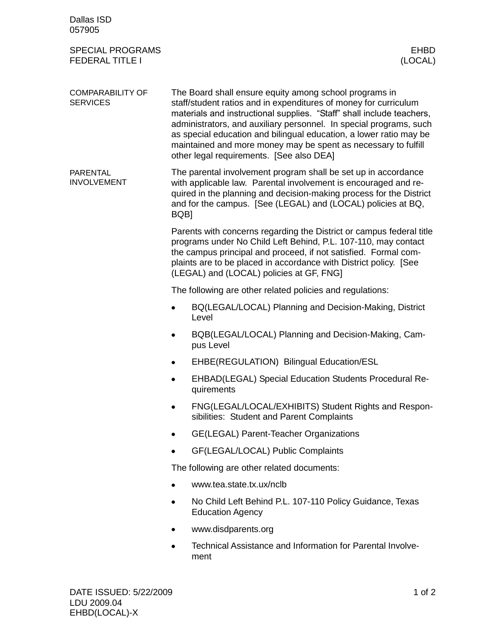| Dallas ISD<br>057905                              |                                                                                                                                                                                                                                                                                                                                                                                                                                                               |  |  |
|---------------------------------------------------|---------------------------------------------------------------------------------------------------------------------------------------------------------------------------------------------------------------------------------------------------------------------------------------------------------------------------------------------------------------------------------------------------------------------------------------------------------------|--|--|
| <b>SPECIAL PROGRAMS</b><br><b>FEDERAL TITLE I</b> | <b>EHBD</b><br>(LOCAL)                                                                                                                                                                                                                                                                                                                                                                                                                                        |  |  |
| <b>COMPARABILITY OF</b><br><b>SERVICES</b>        | The Board shall ensure equity among school programs in<br>staff/student ratios and in expenditures of money for curriculum<br>materials and instructional supplies. "Staff" shall include teachers,<br>administrators, and auxiliary personnel. In special programs, such<br>as special education and bilingual education, a lower ratio may be<br>maintained and more money may be spent as necessary to fulfill<br>other legal requirements. [See also DEA] |  |  |
| <b>PARENTAL</b><br><b>INVOLVEMENT</b>             | The parental involvement program shall be set up in accordance<br>with applicable law. Parental involvement is encouraged and re-<br>quired in the planning and decision-making process for the District<br>and for the campus. [See (LEGAL) and (LOCAL) policies at BQ,<br>BQB]                                                                                                                                                                              |  |  |
|                                                   | Parents with concerns regarding the District or campus federal title<br>programs under No Child Left Behind, P.L. 107-110, may contact<br>the campus principal and proceed, if not satisfied. Formal com-<br>plaints are to be placed in accordance with District policy. [See<br>(LEGAL) and (LOCAL) policies at GF, FNG]                                                                                                                                    |  |  |
|                                                   | The following are other related policies and regulations:                                                                                                                                                                                                                                                                                                                                                                                                     |  |  |
|                                                   | BQ(LEGAL/LOCAL) Planning and Decision-Making, District<br>Level                                                                                                                                                                                                                                                                                                                                                                                               |  |  |
|                                                   | BQB(LEGAL/LOCAL) Planning and Decision-Making, Cam-<br>pus Level                                                                                                                                                                                                                                                                                                                                                                                              |  |  |
|                                                   | EHBE(REGULATION) Bilingual Education/ESL                                                                                                                                                                                                                                                                                                                                                                                                                      |  |  |
|                                                   | EHBAD(LEGAL) Special Education Students Procedural Re-<br>quirements                                                                                                                                                                                                                                                                                                                                                                                          |  |  |
|                                                   | FNG(LEGAL/LOCAL/EXHIBITS) Student Rights and Respon-<br>sibilities: Student and Parent Complaints                                                                                                                                                                                                                                                                                                                                                             |  |  |
|                                                   | GE(LEGAL) Parent-Teacher Organizations                                                                                                                                                                                                                                                                                                                                                                                                                        |  |  |
|                                                   | GF(LEGAL/LOCAL) Public Complaints                                                                                                                                                                                                                                                                                                                                                                                                                             |  |  |
|                                                   | The following are other related documents:                                                                                                                                                                                                                                                                                                                                                                                                                    |  |  |
|                                                   | www.tea.state.tx.ux/nclb                                                                                                                                                                                                                                                                                                                                                                                                                                      |  |  |
|                                                   | No Child Left Behind P.L. 107-110 Policy Guidance, Texas<br><b>Education Agency</b>                                                                                                                                                                                                                                                                                                                                                                           |  |  |
|                                                   | www.disdparents.org                                                                                                                                                                                                                                                                                                                                                                                                                                           |  |  |
|                                                   | Technical Assistance and Information for Parental Involve-<br>٠<br>ment                                                                                                                                                                                                                                                                                                                                                                                       |  |  |